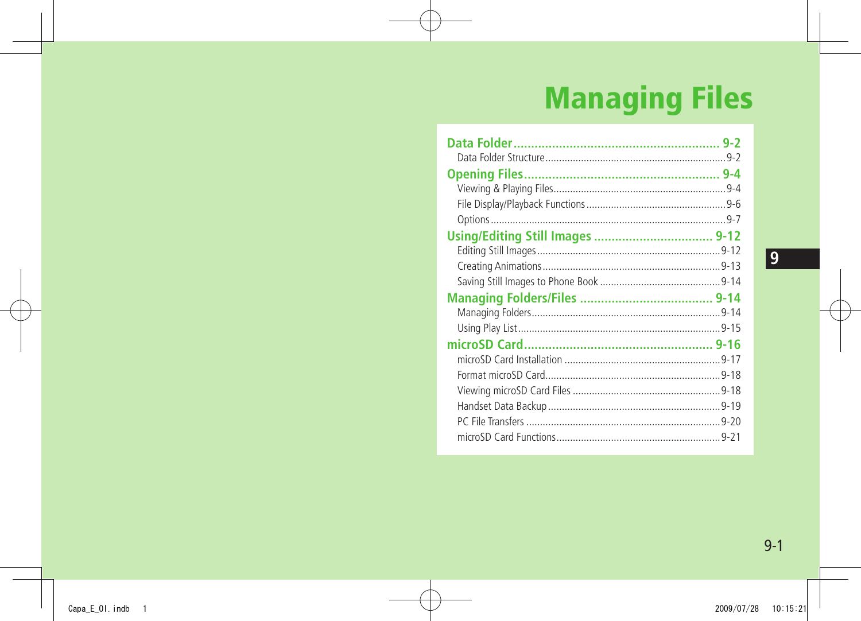## **Managing Files**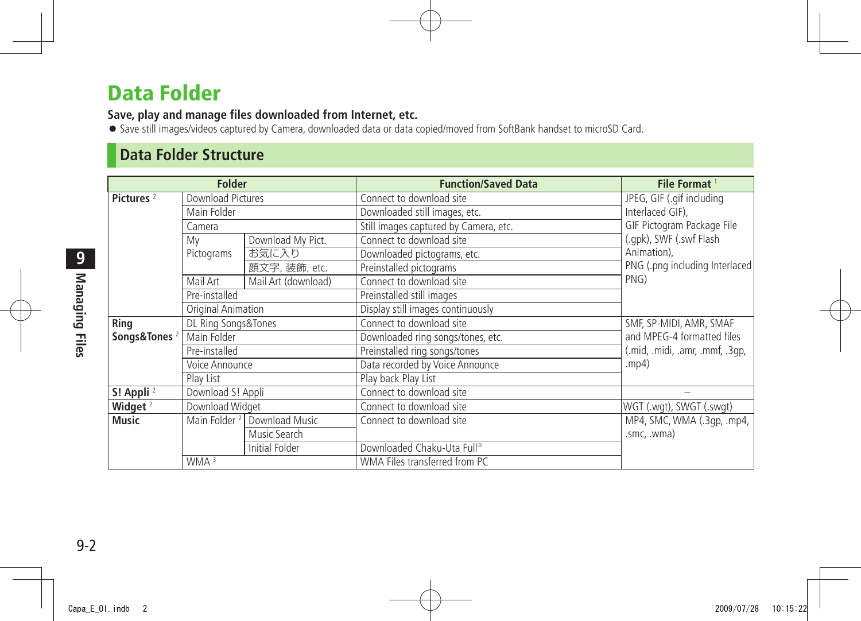## <span id="page-1-0"></span>**Data Folder**

**Save, play and manage files downloaded from Internet, etc.**

● Save still images/videos captured by Camera, downloaded data or data copied/moved from SoftBank handset to microSD Card.

### **Data Folder Structure**

| <b>Folder</b>            |                          |                     | <b>Function/Saved Data</b>            | File Format <sup>1</sup>        |
|--------------------------|--------------------------|---------------------|---------------------------------------|---------------------------------|
| Pictures <sup>2</sup>    | Download Pictures        |                     | Connect to download site              | JPEG, GIF (.gif including       |
|                          | Main Folder              |                     | Downloaded still images, etc.         | Interlaced GIF),                |
|                          | Camera                   |                     | Still images captured by Camera, etc. | GIF Pictogram Package File      |
|                          | Mv                       | Download My Pict.   | Connect to download site              | (.gpk), SWF (.swf Flash         |
|                          | Pictograms               | お気に入り               | Downloaded pictograms, etc.           | Animation),                     |
|                          |                          | 顔文字, 装飾, etc.       | Preinstalled pictograms               | PNG (.png including Interlaced  |
|                          | Mail Art                 | Mail Art (download) | Connect to download site              | PNG)                            |
|                          | Pre-installed            |                     | Preinstalled still images             |                                 |
|                          | Original Animation       |                     | Display still images continuously     |                                 |
| Ring                     | DL Ring Songs&Tones      |                     | Connect to download site              | SMF, SP-MIDI, AMR, SMAF         |
| Songs&Tones <sup>2</sup> | Main Folder              |                     | Downloaded ring songs/tones, etc.     | and MPEG-4 formatted files      |
|                          | Pre-installed            |                     | Preinstalled ring songs/tones         | (.mid, .midi, .amr, .mmf, .3qp, |
|                          | Voice Announce           |                     | Data recorded by Voice Announce       | mp4)                            |
|                          | Play List                |                     | Play back Play List                   |                                 |
| S! Appli <sup>2</sup>    | Download S! Appli        |                     | Connect to download site              |                                 |
| Widget $^2$              | Download Widget          |                     | Connect to download site              | WGT (.wgt), SWGT (.swgt)        |
| <b>Music</b>             | Main Folder <sup>2</sup> | Download Music      | Connect to download site              | MP4, SMC, WMA (.3qp, .mp4,      |
|                          |                          | Music Search        |                                       | .smc, .wma)                     |
|                          |                          | Initial Folder      | Downloaded Chaku-Uta Full®            |                                 |
|                          | WMA <sup>3</sup>         |                     | WMA Files transferred from PC         |                                 |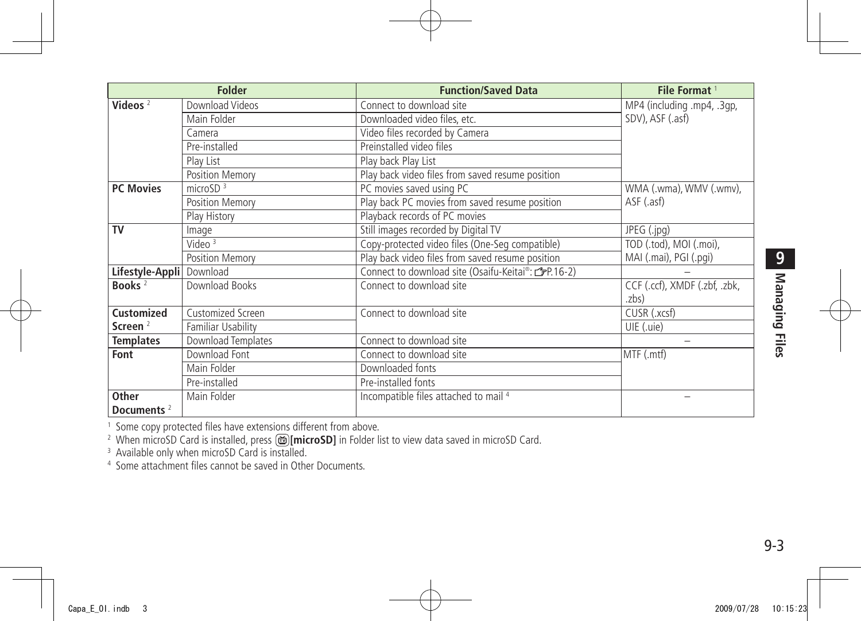| <b>Folder</b>          |                    | <b>Function/Saved Data</b>                          | File Format <sup>1</sup>      |
|------------------------|--------------------|-----------------------------------------------------|-------------------------------|
| Videos $2$             | Download Videos    | Connect to download site                            | MP4 (including .mp4, .3gp,    |
|                        | Main Folder        | Downloaded video files, etc.                        | SDV), ASF (.asf)              |
|                        | Camera             | Video files recorded by Camera                      |                               |
|                        | Pre-installed      | Preinstalled video files                            |                               |
|                        | Play List          | Play back Play List                                 |                               |
|                        | Position Memory    | Play back video files from saved resume position    |                               |
| <b>PC Movies</b>       | microSD $3$        | PC movies saved using PC                            | WMA (.wma), WMV (.wmv),       |
|                        | Position Memory    | Play back PC movies from saved resume position      | ASF (.asf)                    |
|                        | Play History       | Playback records of PC movies                       |                               |
| <b>TV</b>              | Image              | Still images recorded by Digital TV                 | JPEG (.jpg)                   |
|                        | Video $3$          | Copy-protected video files (One-Seg compatible)     | TOD (.tod), MOI (.moi),       |
|                        | Position Memory    | Play back video files from saved resume position    | MAI (.mai), PGI (.pqi)        |
| Lifestyle-Appli        | Download           | Connect to download site (Osaifu-Keitai®: CPP.16-2) |                               |
| Books $2$              | Download Books     | Connect to download site                            | CCF (.ccf), XMDF (.zbf, .zbk, |
|                        |                    |                                                     | .zbs)                         |
| <b>Customized</b>      | Customized Screen  | Connect to download site                            | CUSR (.xcsf)                  |
| Screen $2$             | Familiar Usability |                                                     | UIE (.uie)                    |
| <b>Templates</b>       | Download Templates | Connect to download site                            |                               |
| Font                   | Download Font      | Connect to download site                            | MTF (.mtf)                    |
|                        | Main Folder        | Downloaded fonts                                    |                               |
|                        | Pre-installed      | Pre-installed fonts                                 |                               |
| Other                  | Main Folder        | Incompatible files attached to mail 4               |                               |
| Documents <sup>2</sup> |                    |                                                     |                               |

<sup>1</sup> Some copy protected files have extensions different from above.<br><sup>2</sup> When microSD Card is installed, press <mark>⑯[**microSD]** i</mark>n Folder list to view data saved in microSD Card.<br><sup>3</sup> Available only when microSD Card is insta

4 Some attachment files cannot be saved in Other Documents.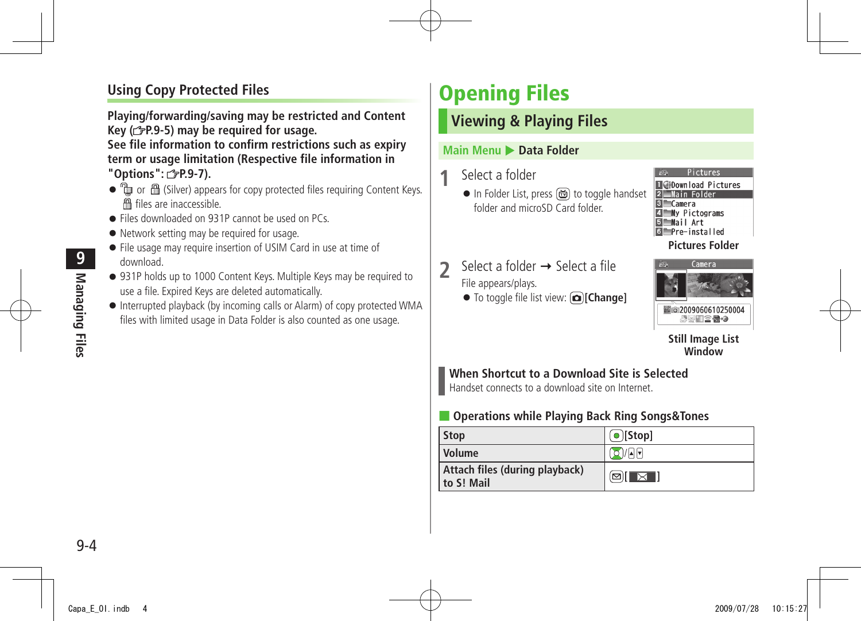#### <span id="page-3-0"></span>**Using Copy Protected Files**

**Playing/forwarding/saving may be restricted and Content Key ( P.9-5) may be required for usage. See file information to confirm restrictions such as expiry term or usage limitation (Respective file information in** 

**"Options": P.9-7).**

- to m A (Silver) appears for copy protected files requiring Content Keys. files are inaccessible.
- Files downloaded on 931P cannot be used on PCs.
- Network setting may be required for usage.
- File usage may require insertion of USIM Card in use at time of download.
- 931P holds up to 1000 Content Keys. Multiple Keys may be required to use a file. Expired Keys are deleted automatically.
- Interrupted playback (by incoming calls or Alarm) of copy protected WMA files with limited usage in Data Folder is also counted as one usage.

## **Opening Files**

#### **Viewing & Playing Files**

#### **Main Menu > Data Folder**

#### **1** Select a folder

● In Folder List, press di to toggle handset folder and microSD Card folder.



#### **Pictures Folder**

- $\sum$  Select a folder  $\rightarrow$  Select a file File appears/plays.
	- To toggle file list view: **[Change]**



#### **Still Image List Window**

#### **When Shortcut to a Download Site is Selected**

Handset connects to a download site on Internet.

#### ■ **Operations while Playing Back Ring Songs&Tones**

| <b>Stop</b>                                  | $\lceil \bullet \rceil$ [Stop] |
|----------------------------------------------|--------------------------------|
| Volume                                       | $\sigma$ / $\Gamma$            |
| Attach files (during playback)<br>to S! Mail | QI X I                         |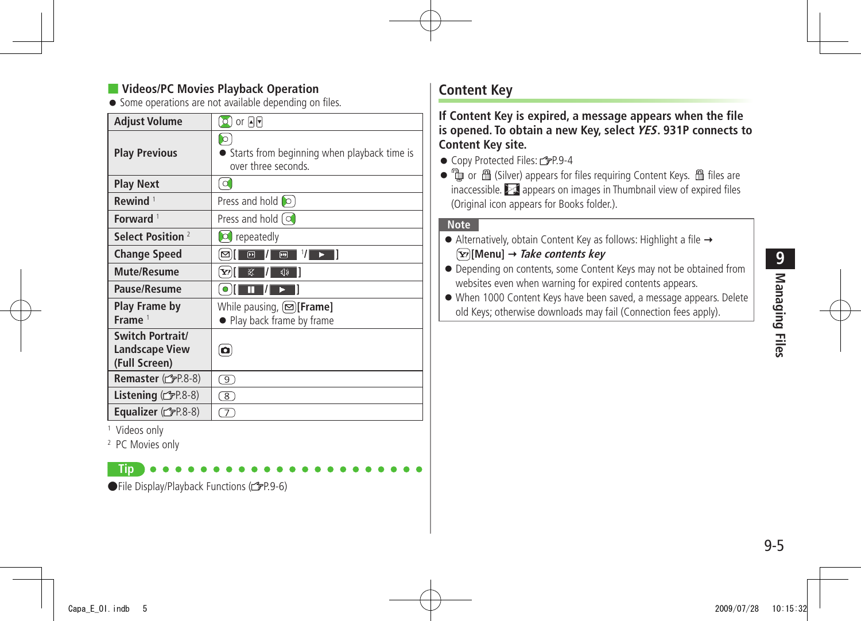#### **Videos/PC Movies Playback Operation**

● Some operations are not available depending on files.

| Adjust Volume                                              | $\Omega$ ) or प्रान                                                       |
|------------------------------------------------------------|---------------------------------------------------------------------------|
| <b>Play Previous</b>                                       | I O<br>Starts from beginning when playback time is<br>over three seconds. |
| <b>Play Next</b>                                           | $\circ$                                                                   |
| Rewind <sup>1</sup>                                        | Press and hold <b>to</b>                                                  |
| Forward <sup>1</sup>                                       | Press and hold [O                                                         |
| Select Position <sup>2</sup>                               | repeatedly<br>l 0 l                                                       |
| <b>Change Speed</b>                                        | 1/1<br>$\overline{\mathbf{E}}$<br>$\boxed{\mathbf{r}}$<br>⊠               |
| <b>Mute/Resume</b>                                         | 冢<br>√り<br>Y/I                                                            |
| Pause/Resume                                               | $\bullet$<br>π                                                            |
| Play Frame by<br>Frame <sup>1</sup>                        | While pausing, $[\infty]$ [Frame]<br>• Play back frame by frame           |
| Switch Portrait/<br><b>Landscape View</b><br>(Full Screen) | o                                                                         |
| Remaster (FP.8-8)                                          | 9)                                                                        |
| Listening (台P.8-8)                                         | 8)                                                                        |
| <b>Equalizer</b> ( $FPR.8-8$ )                             | $\overline{\tau}$                                                         |

1 Videos only

2 PC Movies only

only **Tip**

●File Display/Playback Functions (1子P.9-6)

#### **Content Key**

**If Content Key is expired, a message appears when the file is opened. To obtain a new Key, select YES. 931P connects to Content Key site.**

● Copy Protected Files: C=P.9-4

 $\bullet$   $\mathbb Q$  or  $\mathbb B$  (Silver) appears for files requiring Content Keys.  $\mathbb B$  files are inaccessible.  $\geq 1$  appears on images in Thumbnail view of expired files (Original icon appears for Books folder.).

#### **Note**

- $\bullet$  Alternatively, obtain Content Key as follows: Highlight a file  $\rightarrow$ **[Menu] Take contents key**
- Depending on contents, some Content Keys may not be obtained from websites even when warning for expired contents appears.

● When 1000 Content Keys have been saved, a message appears. Delete old Keys; otherwise downloads may fail (Connection fees apply).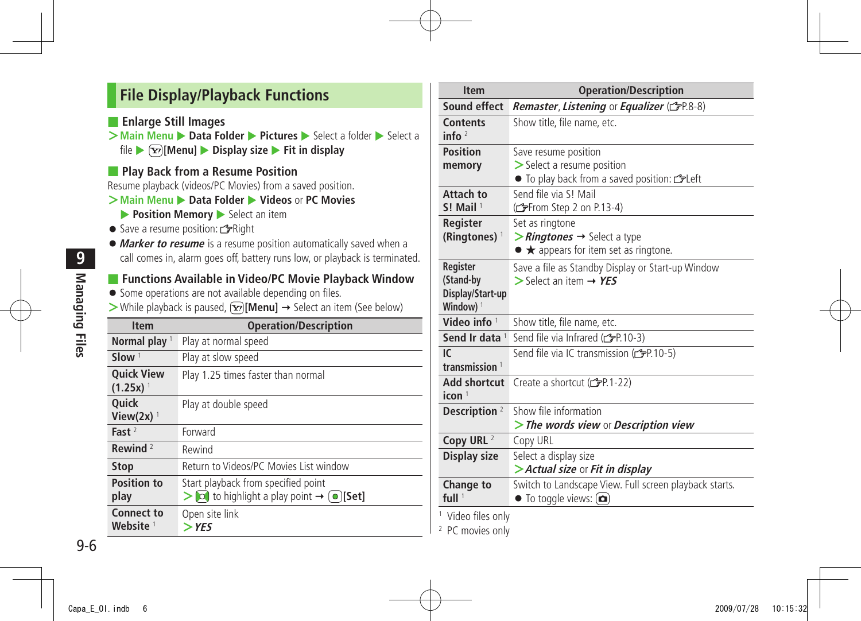#### <span id="page-5-0"></span>**File Display/Playback Functions**

■ **Enlarge Still Images**

**>Main Menu** ▶ **Data Folder ▶ Pictures** ▶ Select a folder ▶ Select a file X **[Menu]** X **Display size** X **Fit in display**

■ **Play Back from a Resume Position** 

Resume playback (videos/PC Movies) from a saved position.

#### **>Main Menu** ▶ Data Folder ▶ Videos or PC Movies

- **Position Memory** Select an item
- Save a resume position: Right
- ●**Marker to resume** is a resume position automatically saved when a call comes in, alarm goes off, battery runs low, or playback is terminated.

#### ■ **Functions Available in Video/PC Movie Playback Window**

- Some operations are not available depending on files.
- $>$  While playback is paused,  $\overline{X}$ **[Menu]**  $\rightarrow$  Select an item (See below)

| <b>Item</b>                                 | <b>Operation/Description</b>                                                                                                                    |
|---------------------------------------------|-------------------------------------------------------------------------------------------------------------------------------------------------|
| Normal play $1$                             | Play at normal speed                                                                                                                            |
| Slow <sup>1</sup>                           | Play at slow speed                                                                                                                              |
| <b>Quick View</b><br>$(1.25x)$ <sup>1</sup> | Play 1.25 times faster than normal                                                                                                              |
| <b>Ouick</b><br>View $(2x)$ <sup>1</sup>    | Play at double speed                                                                                                                            |
| Fast $2$                                    | Forward                                                                                                                                         |
| Rewind $2$                                  | Rewind                                                                                                                                          |
| <b>Stop</b>                                 | Return to Videos/PC Movies List window                                                                                                          |
| <b>Position to</b><br>play                  | Start playback from specified point<br>$\triangleright$ $\triangleright$ to highlight a play point $\rightarrow \cdot$ ( $\triangleright$ [Set] |
| <b>Connect to</b><br>Website <sup>1</sup>   | Open site link<br>$>$ YFS                                                                                                                       |

| <b>Item</b>                                                       | <b>Operation/Description</b>                                                                                                             |
|-------------------------------------------------------------------|------------------------------------------------------------------------------------------------------------------------------------------|
| Sound effect                                                      | Remaster, Listening or Equalizer (SP.8-8)                                                                                                |
| <b>Contents</b><br>info $2$                                       | Show title, file name, etc.                                                                                                              |
| <b>Position</b><br>memory                                         | Save resume position<br>> Select a resume position<br>• To play back from a saved position: CFLeft                                       |
| Attach to<br>$S!$ Mail <sup>1</sup>                               | Send file via SL Mail<br>(fep 2 on P.13-4)                                                                                               |
| Register<br>(Ringtones) <sup>1</sup>                              | Set as ringtone<br>$\triangleright$ <i>Ringtones</i> $\rightarrow$ Select a type<br>$\bullet \bigstar$ appears for item set as ringtone. |
| Register<br>(Stand-by<br>Display/Start-up<br>Window) <sup>1</sup> | Save a file as Standby Display or Start-up Window<br>$\triangleright$ Select an item $\rightarrow$ YES                                   |
| Video info $1$                                                    | Show title, file name, etc.                                                                                                              |
| Send Ir data $1$                                                  | Send file via Infrared (CFP.10-3)                                                                                                        |
| IC<br>transmission $1$                                            | Send file via IC transmission (CFP.10-5)                                                                                                 |
| <b>Add shortcut</b><br>icon <sup>1</sup>                          | Create a shortcut (real-22)                                                                                                              |
| Description <sup>2</sup>                                          | Show file information<br>> The words view or Description view                                                                            |
| Copy URL <sup>2</sup>                                             | Copy URL                                                                                                                                 |
| Display size                                                      | Select a display size<br>> Actual size or Fit in display                                                                                 |
| Change to<br>full $1$                                             | Switch to Landscape View. Full screen playback starts.<br>$\bullet$ To toggle views: $(\bullet)$                                         |
| <sup>1</sup> Video files only                                     |                                                                                                                                          |

2 PC movies only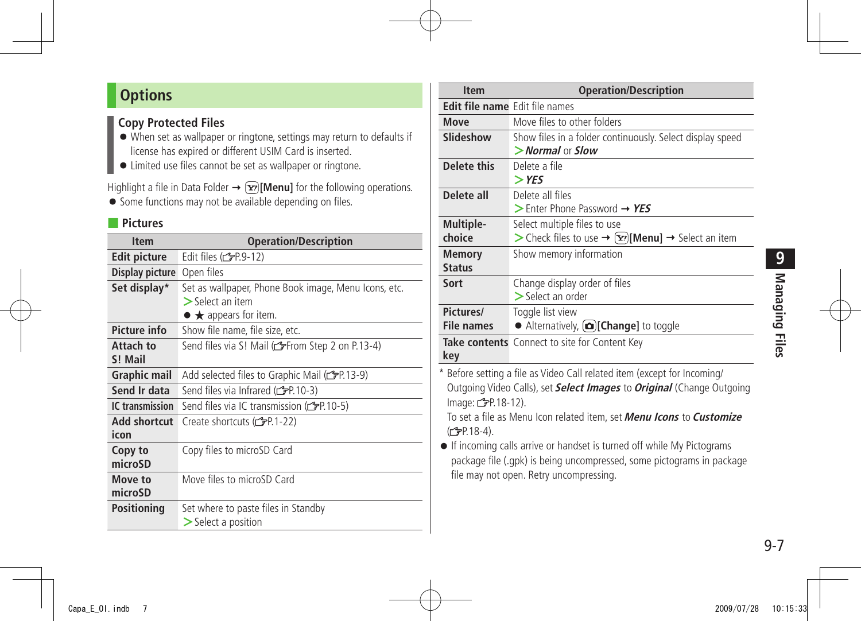### <span id="page-6-0"></span>**Options**

#### **Copy Protected Files**

- When set as wallpaper or ringtone, settings may return to defaults if license has expired or different USIM Card is inserted.
- Limited use files cannot be set as wallpaper or ringtone.

Highlight a file in Data Folder  $\rightarrow \infty$  [Menu] for the following operations.

● Some functions may not be available depending on files.

#### ■ **Pictures**

| <b>Item</b>         | <b>Operation/Description</b>                           |
|---------------------|--------------------------------------------------------|
| <b>Edit picture</b> | Edit files $(\mathcal{C}$ P.9-12)                      |
| Display picture     | Open files                                             |
| Set display*        | Set as wallpaper, Phone Book image, Menu Icons, etc.   |
|                     | $>$ Select an item                                     |
|                     | $\bullet \bigstar$ appears for item.                   |
| <b>Picture info</b> | Show file name, file size, etc.                        |
| Attach to           | Send files via S! Mail (referom Step 2 on P.13-4)      |
| S! Mail             |                                                        |
| <b>Graphic mail</b> | Add selected files to Graphic Mail (refr.13-9)         |
| Send Ir data        | Send files via Infrared (CPP 10-3)                     |
| IC transmission     | Send files via IC transmission ( $\mathcal{F}$ P.10-5) |
| Add shortcut        | Create shortcuts (子P.1-22)                             |
| icon                |                                                        |
| Copy to             | Copy files to microSD Card                             |
| microSD             |                                                        |
| Move to             | Move files to microSD Card                             |
| microSD             |                                                        |
| <b>Positioning</b>  | Set where to paste files in Standby                    |
|                     | $\geq$ Select a position                               |

| <b>Item</b>                                    | <b>Operation/Description</b>                                                                                                                                                                                                                                                                                                                                                                                                                         |
|------------------------------------------------|------------------------------------------------------------------------------------------------------------------------------------------------------------------------------------------------------------------------------------------------------------------------------------------------------------------------------------------------------------------------------------------------------------------------------------------------------|
| Edit file name Edit file names                 |                                                                                                                                                                                                                                                                                                                                                                                                                                                      |
| Move                                           | Move files to other folders                                                                                                                                                                                                                                                                                                                                                                                                                          |
| Slideshow                                      | Show files in a folder continuously. Select display speed<br>$>$ Normal or Slow                                                                                                                                                                                                                                                                                                                                                                      |
| Delete this                                    | Delete a file<br>$>$ YES                                                                                                                                                                                                                                                                                                                                                                                                                             |
| Delete all                                     | Delete all files<br>$>$ Enter Phone Password $\rightarrow$ YES                                                                                                                                                                                                                                                                                                                                                                                       |
| Multiple-<br>choice                            | Select multiple files to use<br>> Check files to use → $\boxed{\mathbf{x}}$ [Menu] → Select an item                                                                                                                                                                                                                                                                                                                                                  |
| <b>Memory</b><br><b>Status</b>                 | Show memory information                                                                                                                                                                                                                                                                                                                                                                                                                              |
| Sort                                           | Change display order of files<br>$\geq$ Select an order                                                                                                                                                                                                                                                                                                                                                                                              |
| Pictures/<br><b>File names</b>                 | Toggle list view<br>Alternatively, <b>all Change</b> to toggle                                                                                                                                                                                                                                                                                                                                                                                       |
| key                                            | Take contents Connect to site for Content Key                                                                                                                                                                                                                                                                                                                                                                                                        |
| Image: 子P.18-12).<br>(C <sub>FP</sub> P.18-4). | * Before setting a file as Video Call related item (except for Incoming/<br>Outgoing Video Calls), set <b>Select Images</b> to <b>Original</b> (Change Outgoing<br>To set a file as Menu Icon related item, set <i>Menu Icons</i> to <i>Customize</i><br>• If incoming calls arrive or handset is turned off while My Pictograms<br>package file (.gpk) is being uncompressed, some pictograms in package<br>file may not open. Retry uncompressing. |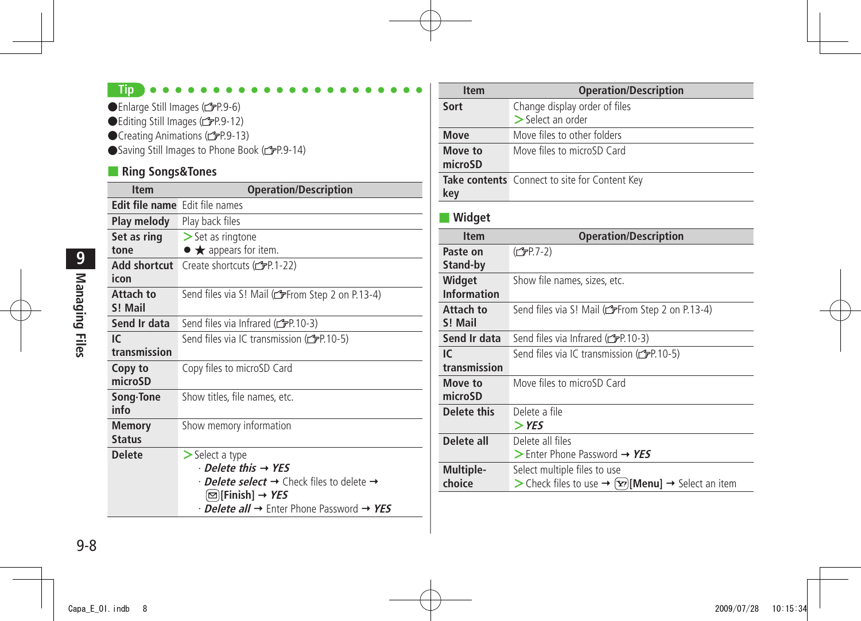#### **Tip**

●Enlarge Still Images (r FP.9-6)

- ●Editing Still Images (<del>●</del>P.9-12)
- ●Creating Animations (<del>1</del>9-9-13)

●Saving Still Images to Phone Book (子P.9-14)

#### ■ **Ring Songs&Tones**

| <b>Item</b>                           | <b>Operation/Description</b>                                                   |
|---------------------------------------|--------------------------------------------------------------------------------|
| <b>Edit file name</b> Edit file names |                                                                                |
| Play melody                           | Play back files                                                                |
| Set as ring                           | $\ge$ Set as ringtone                                                          |
| tone                                  | $\bullet \bigstar$ appears for item.                                           |
| Add shortcut                          | Create shortcuts (rep.1-22)                                                    |
| icon                                  |                                                                                |
| Attach to<br>S! Mail                  | Send files via S! Mail (reffrom Step 2 on P.13-4)                              |
| Send Ir data                          | Send files via Infrared (copp. 10-3)                                           |
| IC.                                   | Send files via IC transmission ( $\mathcal{F}$ P.10-5)                         |
| transmission                          |                                                                                |
| Copy to                               | Copy files to microSD Card                                                     |
| microSD                               |                                                                                |
| Song Tone<br>info                     | Show titles, file names, etc.                                                  |
| Memory<br><b>Status</b>               | Show memory information                                                        |
| <b>Delete</b>                         | $\geq$ Select a type                                                           |
|                                       | $\cdot$ Delete this $\rightarrow$ YES                                          |
|                                       | $\cdot$ <i>Delete select</i> $\rightarrow$ Check files to delete $\rightarrow$ |
|                                       | $\lbrack \mathfrak{\boxdot} \rbrack$ [Finish] → YES                            |
|                                       | $\cdot$ Delete all $\rightarrow$ Enter Phone Password $\rightarrow$ YES        |

| <b>Item</b>        | <b>Operation/Description</b>                                              |
|--------------------|---------------------------------------------------------------------------|
| Sort               | Change display order of files                                             |
|                    | $>$ Select an order                                                       |
| Move               | Move files to other folders                                               |
| Move to            | Move files to microSD Card                                                |
| microSD            |                                                                           |
|                    | Take contents Connect to site for Content Key                             |
| key                |                                                                           |
| Widget             |                                                                           |
| <b>Item</b>        | <b>Operation/Description</b>                                              |
| Paste on           | (C <sub>J</sub> PP.7-2)                                                   |
| Stand-by           |                                                                           |
| Widget             | Show file names, sizes, etc.                                              |
| <b>Information</b> |                                                                           |
| Attach to          | Send files via S! Mail (Corrom Step 2 on P.13-4)                          |
| S! Mail            |                                                                           |
| Send Ir data       | Send files via Infrared (CPP.10-3)                                        |
| IC.                | Send files via IC transmission (rep. 10-5)                                |
| transmission       |                                                                           |
| Move to            | Move files to microSD Card                                                |
| microSD            |                                                                           |
| Delete this        | Delete a file                                                             |
|                    | $>$ YES                                                                   |
| Delete all         | Delete all files                                                          |
|                    | $\triangleright$ Enter Phone Password $\rightarrow$ YES                   |
| Multiple-          | Select multiple files to use                                              |
| choice             | > Check files to use → $[\mathbf{x}$ <sup>2</sup> [Menu] → Select an item |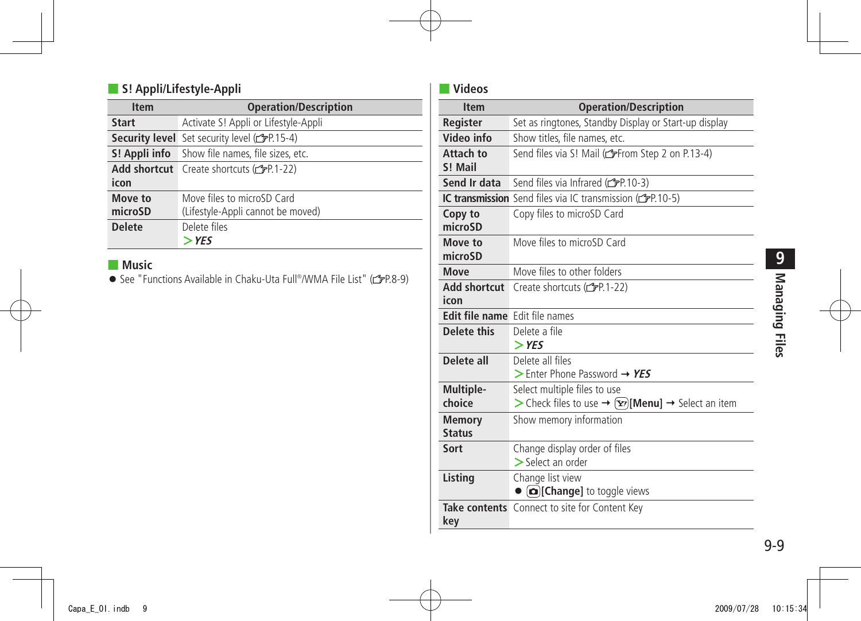#### ■ **S! Appli/Lifestyle-Appli**

| <b>Item</b>   | <b>Operation/Description</b>                                     |
|---------------|------------------------------------------------------------------|
| <b>Start</b>  | Activate S! Appli or Lifestyle-Appli                             |
|               | <b>Security level</b> Set security level (C <sub>P</sub> P.15-4) |
|               | <b>S! Appli info</b> Show file names, file sizes, etc.           |
|               | Add shortcut Create shortcuts (free22)                           |
| icon          |                                                                  |
| Move to       | Move files to microSD Card                                       |
| microSD       | (Lifestyle-Appli cannot be moved)                                |
| <b>Delete</b> | Delete files                                                     |
|               | $>$ YES                                                          |

#### ■ **Music**

● See "Functions Available in Chaku-Uta Full®/WMA File List" (r<sup>3</sup>P.8-9)

#### ■ **Videos**

| <b>Item</b>                    | <b>Operation/Description</b>                                                                   |
|--------------------------------|------------------------------------------------------------------------------------------------|
| Register                       | Set as ringtones, Standby Display or Start-up display                                          |
| Video info                     | Show titles, file names, etc.                                                                  |
| Attach to<br>S! Mail           | Send files via S! Mail (reffrom Step 2 on P.13-4)                                              |
| Send Ir data                   | Send files via Infrared (rep. 10-3)                                                            |
|                                | IC transmission Send files via IC transmission (FP.10-5)                                       |
| Copy to<br>microSD             | Copy files to microSD Card                                                                     |
| Move to<br>microSD             | Move files to microSD Card                                                                     |
| Move                           | Move files to other folders                                                                    |
| Add shortcut<br>icon           | Create shortcuts (仁子P.1-22)                                                                    |
| Edit file name Edit file names |                                                                                                |
| Delete this                    | Delete a file<br>$>$ YES                                                                       |
| Delete all                     | Delete all files<br>> Enter Phone Password $\rightarrow$ YES                                   |
| Multiple-<br>choice            | Select multiple files to use<br>> Check files to use $\rightarrow$ [xz][Menu] → Select an item |
| <b>Memory</b><br><b>Status</b> | Show memory information                                                                        |
| Sort                           | Change display order of files<br>> Select an order                                             |
| Listing                        | Change list view<br>Change] to toggle views                                                    |
| key                            | Take contents Connect to site for Content Key                                                  |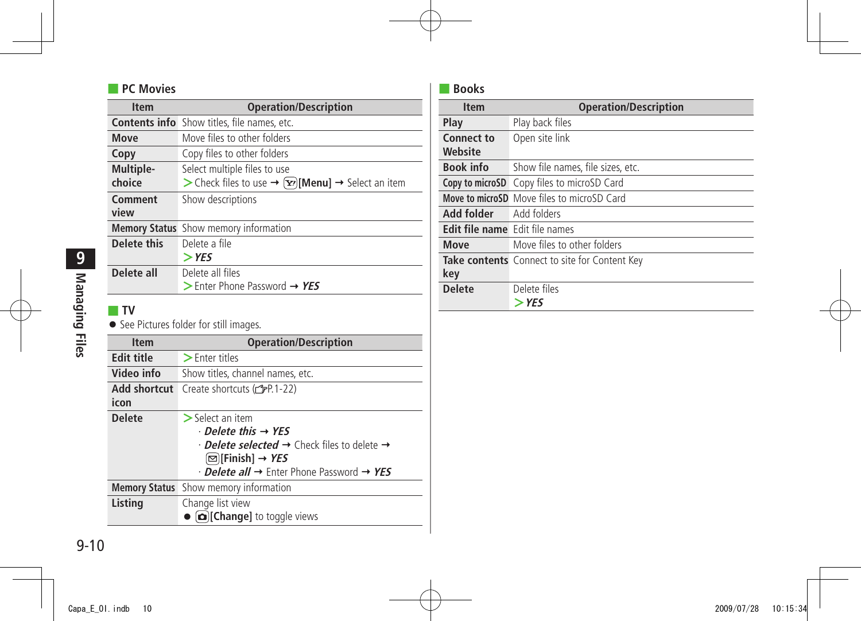#### ■ **PC Movies**

| <b>Item</b> | <b>Operation/Description</b>                                       |
|-------------|--------------------------------------------------------------------|
|             | <b>Contents info</b> Show titles, file names, etc.                 |
| <b>Move</b> | Move files to other folders                                        |
| Copy        | Copy files to other folders                                        |
| Multiple-   | Select multiple files to use                                       |
| choice      | > Check files to use $\rightarrow$ [x $r$ ][Menu] → Select an item |
| Comment     | Show descriptions                                                  |
| view        |                                                                    |
|             | <b>Memory Status</b> Show memory information                       |
| Delete this | Delete a file                                                      |
|             | $>$ YES                                                            |
| Delete all  | Delete all files                                                   |
|             | $\triangleright$ Enter Phone Password $\rightarrow$ YES            |
|             |                                                                    |
| ΤV          |                                                                    |
|             | • See Pictures folder for still images.                            |

| <b>Item</b>          | <b>Operation/Description</b>                                                                                                                                                                                                                                     |
|----------------------|------------------------------------------------------------------------------------------------------------------------------------------------------------------------------------------------------------------------------------------------------------------|
| <b>Edit title</b>    | $\blacktriangleright$ Enter titles                                                                                                                                                                                                                               |
| Video info           | Show titles, channel names, etc.                                                                                                                                                                                                                                 |
| Add shortcut<br>icon | Create shortcuts (全P.1-22)                                                                                                                                                                                                                                       |
| <b>Delete</b>        | $>$ Select an item<br>$\cdot$ Delete this $\rightarrow$ YES<br>$\cdot$ Delete selected $\rightarrow$ Check files to delete $\rightarrow$<br>$\lbrack\Xi\rbrack$ [Finish] → <i>YES</i><br>$\cdot$ Delete all $\rightarrow$ Enter Phone Password $\rightarrow$ YES |
| <b>Memory Status</b> | Show memory information                                                                                                                                                                                                                                          |
| Listing              | Change list view<br><b>[co]</b> [Change] to toggle views                                                                                                                                                                                                         |

#### ■ **Books**

÷

| <b>Item</b>                    | <b>Operation/Description</b>                      |
|--------------------------------|---------------------------------------------------|
| Play                           | Play back files                                   |
| <b>Connect to</b><br>Website   | Open site link                                    |
| <b>Book info</b>               | Show file names, file sizes, etc.                 |
|                                | Copy to microSD Copy files to microSD Card        |
|                                | <b>Move to microSD</b> Move files to microSD Card |
| Add folder                     | Add folders                                       |
| Edit file name Edit file names |                                                   |
| Move                           | Move files to other folders                       |
| key                            | Take contents Connect to site for Content Key     |
| <b>Delete</b>                  | Delete files<br>> YES                             |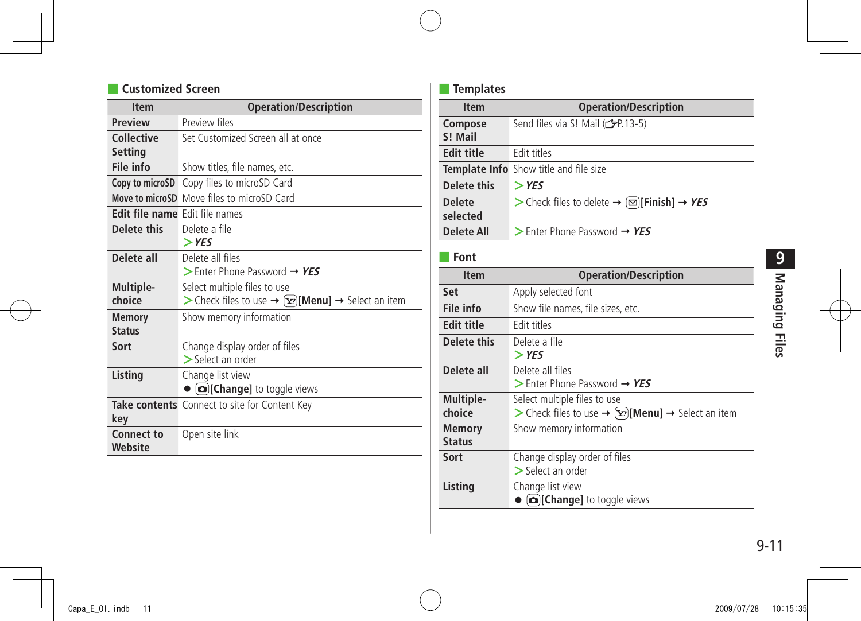#### ■ **Customized Screen**

| <b>Item</b>                  | <b>Operation/Description</b>                                             |
|------------------------------|--------------------------------------------------------------------------|
| <b>Preview</b>               | Preview files                                                            |
| Collective                   | Set Customized Screen all at once                                        |
| Setting                      |                                                                          |
| File info                    | Show titles, file names, etc.                                            |
| Copy to microSD              | Copy files to microSD Card                                               |
|                              | Move to microSD Move files to microSD Card                               |
| <b>Edit file name</b>        | Edit file names                                                          |
| <b>Delete this</b>           | Delete a file                                                            |
|                              | $>$ YES                                                                  |
| Delete all                   | Delete all files                                                         |
|                              | $>$ Enter Phone Password $\rightarrow$ YES                               |
| Multiple-                    | Select multiple files to use                                             |
| choice                       | > Check files to use → $\left[\mathbf{x}\right]$ [Menu] → Select an item |
| <b>Memory</b>                | Show memory information                                                  |
| <b>Status</b>                |                                                                          |
| Sort                         | Change display order of files                                            |
|                              | $\geq$ Select an order                                                   |
| Listing                      | Change list view                                                         |
|                              | <b>[co]</b> [Change] to toggle views                                     |
|                              | <b>Take contents</b> Connect to site for Content Key                     |
| key                          |                                                                          |
| <b>Connect to</b><br>Website | Open site link                                                           |

#### ■ **Templates**

| <b>Item</b>                    | <b>Operation/Description</b>                                                                        |
|--------------------------------|-----------------------------------------------------------------------------------------------------|
| Compose<br>S! Mail             | Send files via S! Mail (c P.13-5)                                                                   |
| <b>Edit title</b>              | Fdit titles                                                                                         |
|                                | Template Info Show title and file size                                                              |
| Delete this                    | $>$ YES                                                                                             |
| <b>Delete</b><br>selected      | > Check files to delete → $\textcircled{=}$ [Finish] → YES                                          |
| <b>Delete All</b>              | $>$ Enter Phone Password $\rightarrow$ YES                                                          |
| Font                           |                                                                                                     |
| <b>Item</b>                    | <b>Operation/Description</b>                                                                        |
| Set                            | Apply selected font                                                                                 |
| File info                      | Show file names, file sizes, etc.                                                                   |
| <b>Edit title</b>              | Edit titles                                                                                         |
| <b>Delete this</b>             | Delete a file<br>$>$ YES                                                                            |
| Delete all                     | Delete all files<br>$>$ Enter Phone Password $\rightarrow$ YES                                      |
| Multiple-<br>choice            | Select multiple files to use<br>> Check files to use → $\boxed{\mathbf{x}}$ [Menu] → Select an item |
| <b>Memory</b><br><b>Status</b> | Show memory information                                                                             |
| Sort                           | Change display order of files<br>$\geq$ Select an order                                             |
| Listing                        | Change list view<br><b>D</b> [Change] to toggle views                                               |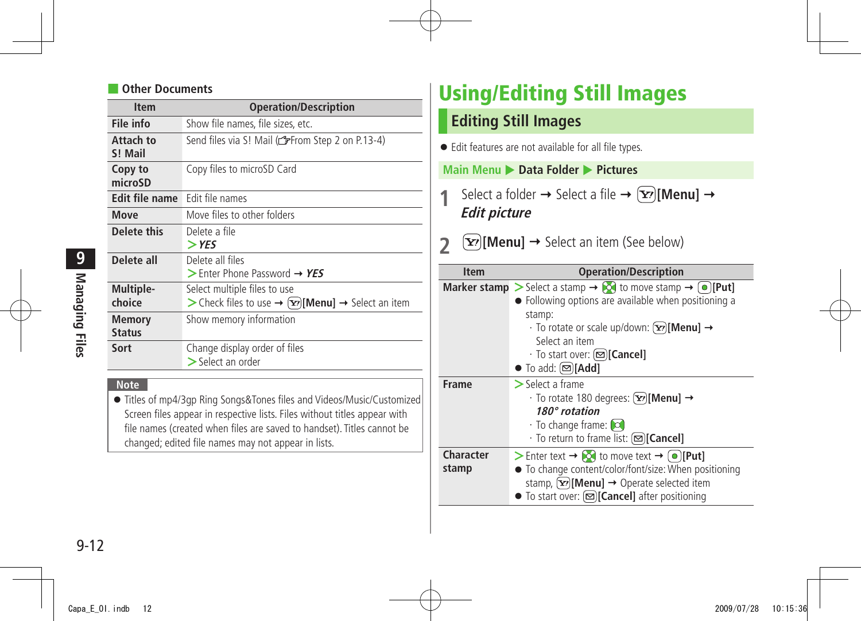#### <span id="page-11-0"></span>**Other Documents**

| <b>Item</b>                    | <b>Operation/Description</b>                                                                    |
|--------------------------------|-------------------------------------------------------------------------------------------------|
| File info                      | Show file names, file sizes, etc.                                                               |
| Attach to<br>S! Mail           | Send files via S! Mail (referom Step 2 on P.13-4)                                               |
| Copy to<br>microSD             | Copy files to microSD Card                                                                      |
| Edit file name                 | Edit file names                                                                                 |
| Move                           | Move files to other folders                                                                     |
| Delete this                    | Delete a file<br>$>$ YES                                                                        |
| Delete all                     | Delete all files<br>$>$ Enter Phone Password $\rightarrow$ YES                                  |
| Multiple-<br>choice            | Select multiple files to use<br>> Check files to use $\rightarrow$ [xe] [Menu] → Select an item |
| <b>Memory</b><br><b>Status</b> | Show memory information                                                                         |
| Sort                           | Change display order of files<br>$\geq$ Select an order                                         |

#### **Note**

● Titles of mp4/3gp Ring Songs&Tones files and Videos/Music/Customized Screen files appear in respective lists. Files without titles appear with file names (created when files are saved to handset). Titles cannot be changed; edited file names may not appear in lists.

## **Using/Editing Still Images**

#### **Editing Still Images**

● Edit features are not available for all file types.

#### **Main Menu** X **Data Folder** X **Pictures**

**1** Select a folder  $\rightarrow$  Select a file  $\rightarrow$   $\overline{Y}$  $\overline{Y}$  $\overline{Y}$  $\overline{Y}$  $\overline{Y}$  $\overline{Y}$  $\overline{Y}$ **Edit picture**

#### **2**  $\boxed{\mathbf{Y}}$  [Menu]  $\rightarrow$  Select an item (See below)

| <b>Item</b>        | <b>Operation/Description</b>                                                                                                                                                                                                                                                                                                                                                      |
|--------------------|-----------------------------------------------------------------------------------------------------------------------------------------------------------------------------------------------------------------------------------------------------------------------------------------------------------------------------------------------------------------------------------|
|                    | <b>Marker stamp</b> $\triangleright$ Select a stamp $\rightarrow$ <b>[O]</b> to move stamp $\rightarrow$ <b>[O]</b> [Put]<br>• Following options are available when positioning a<br>stamp:<br>$\cdot$ To rotate or scale up/down: $[\mathbf{x}$ <sup>2</sup> [Menu] $\rightarrow$<br>Select an item<br>· To start over: (図)[Cancel]<br>$\bullet$ To add: $\textcircled{r}$ [Add] |
| <b>Frame</b>       | $\geq$ Select a frame<br>$\cdot$ To rotate 180 degrees: $[\mathbf{x}$ <sup>2</sup> [Menu] $\rightarrow$<br>180° rotation<br>$\cdot$ To change frame: $\circ$<br>· To return to frame list: ( <b>∞)[Cancel]</b>                                                                                                                                                                    |
| Character<br>stamp | > Enter text $\rightarrow$ $\sim$ to move text $\rightarrow \sim \sim$ [Put]<br>• To change content/color/font/size: When positioning<br>stamp, $[\mathbf{x}$ [Menu] $\rightarrow$ Operate selected item<br>● To start over: [ $\textcircled{=}$ ][Cancel] after positioning                                                                                                      |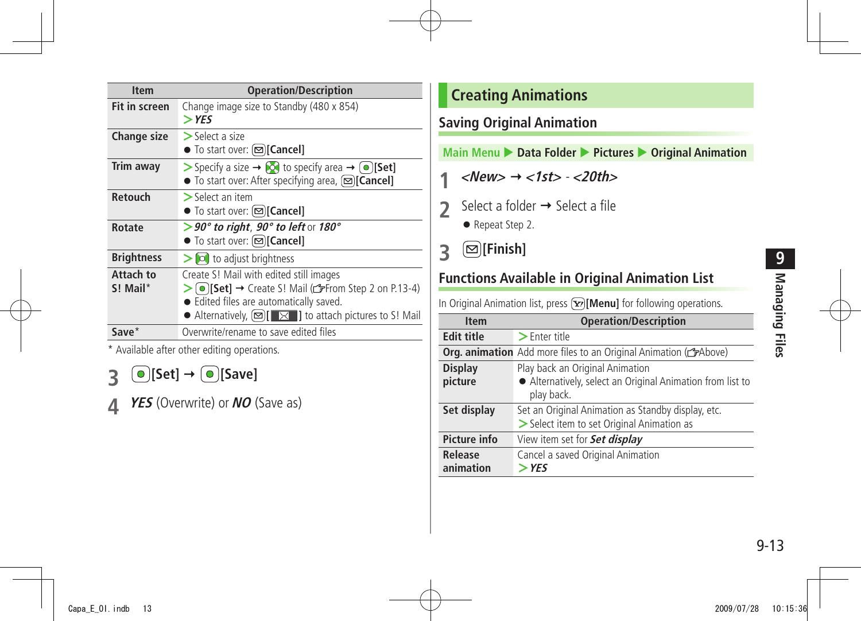<span id="page-12-0"></span>

| <b>Operation/Description</b>                                                                                                                                                                                                                               |
|------------------------------------------------------------------------------------------------------------------------------------------------------------------------------------------------------------------------------------------------------------|
| Change image size to Standby (480 x 854)<br>$>$ YES                                                                                                                                                                                                        |
| $>$ Select a size<br>● To start over: (図)[Cancel]                                                                                                                                                                                                          |
| Specify a size $\rightarrow \infty$ to specify area $\rightarrow \infty$ [Set]<br>● To start over: After specifying area, [ <b>□</b> ][ <b>Cancel</b> ]                                                                                                    |
| $>$ Select an item<br>● To start over: [ <b>□</b> ][ <b>Cancel</b> ]                                                                                                                                                                                       |
| $>$ 90° to right, 90° to left or 180°<br>● To start over: [ <b>□</b> ][ <b>Cancel</b> ]                                                                                                                                                                    |
| $\geq$ $\infty$ to adjust brightness                                                                                                                                                                                                                       |
| Create S! Mail with edited still images<br>> $\odot$ [Set] → Create S! Mail ( $\mathcal{F}$ From Step 2 on P.13-4)<br>• Edited files are automatically saved.<br>• Alternatively, $\boxed{\infty}$ $\boxed{\times}$ <b>]</b> to attach pictures to S! Mail |
| Overwrite/rename to save edited files                                                                                                                                                                                                                      |
|                                                                                                                                                                                                                                                            |

Available after other editing operations.

**3 [Set] [Save]**

**4 YES** (Overwrite) or **NO** (Save as)

#### **Creating Animations**

#### **Saving Original Animation**

**Main Menu > Data Folder > Pictures > Original Animation** 

- **1**  $\langle$  *k***ew>**  $\rightarrow$  $\langle$ **1st>**  $\cdot$  $\langle$  **<b>***<20th>*
- 2 Select a folder  $\rightarrow$  Select a file
	- Repeat Step 2.
- **3 [Finish]**

#### **Functions Available in Original Animation List**

In Original Animation list, press **[x]** [Menu] for following operations.

| <b>Item</b>         | <b>Operation/Description</b>                                                         |
|---------------------|--------------------------------------------------------------------------------------|
| <b>Edit title</b>   | $\geq$ Enter title                                                                   |
|                     | <b>Org. animation</b> Add more files to an Original Animation (C <sub>F</sub> Above) |
| <b>Display</b>      | Play back an Original Animation                                                      |
| picture             | • Alternatively, select an Original Animation from list to                           |
|                     | play back.                                                                           |
| Set display         | Set an Original Animation as Standby display, etc.                                   |
|                     | > Select item to set Original Animation as                                           |
| <b>Picture info</b> | View item set for <b>Set display</b>                                                 |
| Release             | Cancel a saved Original Animation                                                    |
| animation           | $>$ YES                                                                              |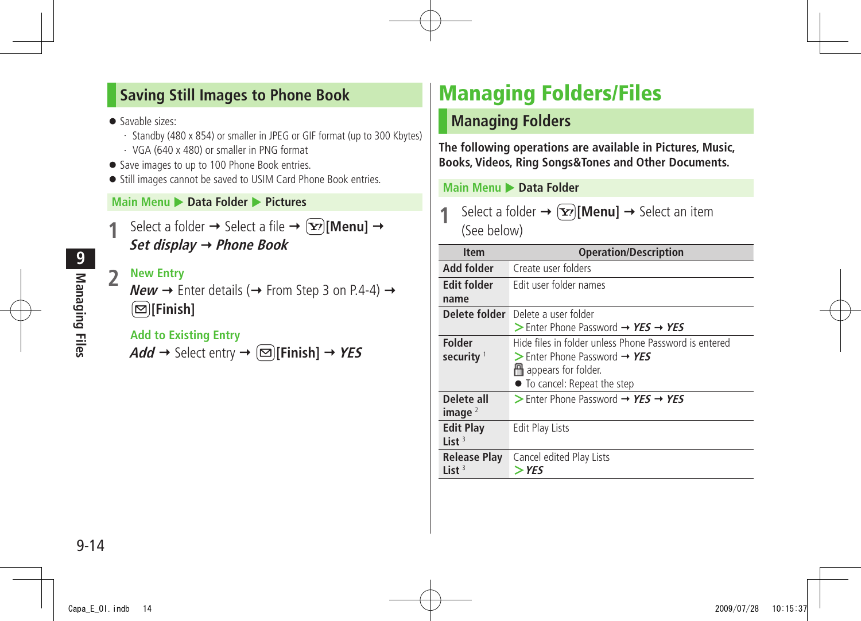#### <span id="page-13-0"></span>**Saving Still Images to Phone Book**

- Savable sizes:
	- ・ Standby (480 x 854) or smaller in JPEG or GIF format (up to 300 Kbytes)
	- ・ VGA (640 x 480) or smaller in PNG format
- Save images to up to 100 Phone Book entries.
- Still images cannot be saved to USIM Card Phone Book entries.

#### **Main Menu** X **Data Folder** X **Pictures**

Select a folder  $\rightarrow$  Select a file  $\rightarrow$   $(\mathbf{x})$ [**Menu**]  $\rightarrow$ **Set display Phone Book**

#### **2 New Entry**

**New**  $\rightarrow$  Enter details ( $\rightarrow$  From Step 3 on P.4-4)  $\rightarrow$ **[Finish]**

#### **Add to Existing Entry**

 $Add \rightarrow$  Select entry  $\rightarrow \Box$  [Finish]  $\rightarrow$  YES

## **Managing Folders/Files**

#### **Managing Folders**

**The following operations are available in Pictures, Music, Books, Videos, Ring Songs&Tones and Other Documents.**

#### **Main Menu > Data Folder**

Select a folder  $\rightarrow \infty$  [Menu]  $\rightarrow$  Select an item (See below)

| <b>Item</b>         | <b>Operation/Description</b>                                              |
|---------------------|---------------------------------------------------------------------------|
| Add folder          | Create user folders                                                       |
| <b>Edit folder</b>  | Edit user folder names                                                    |
| name                |                                                                           |
| Delete folder       | Delete a user folder                                                      |
|                     | $\triangleright$ Enter Phone Password $\rightarrow$ YES $\rightarrow$ YES |
| <b>Folder</b>       | Hide files in folder unless Phone Password is entered                     |
| security $1$        | $>$ Enter Phone Password $\rightarrow$ YES                                |
|                     | <sup>14</sup> appears for folder.                                         |
|                     | • To cancel: Repeat the step                                              |
| Delete all          | > Enter Phone Password $\rightarrow$ YES $\rightarrow$ YES                |
| image $2$           |                                                                           |
| <b>Edit Play</b>    | Edit Play Lists                                                           |
| List $3$            |                                                                           |
| <b>Release Play</b> | Cancel edited Play Lists                                                  |
| List $3$            | > YES                                                                     |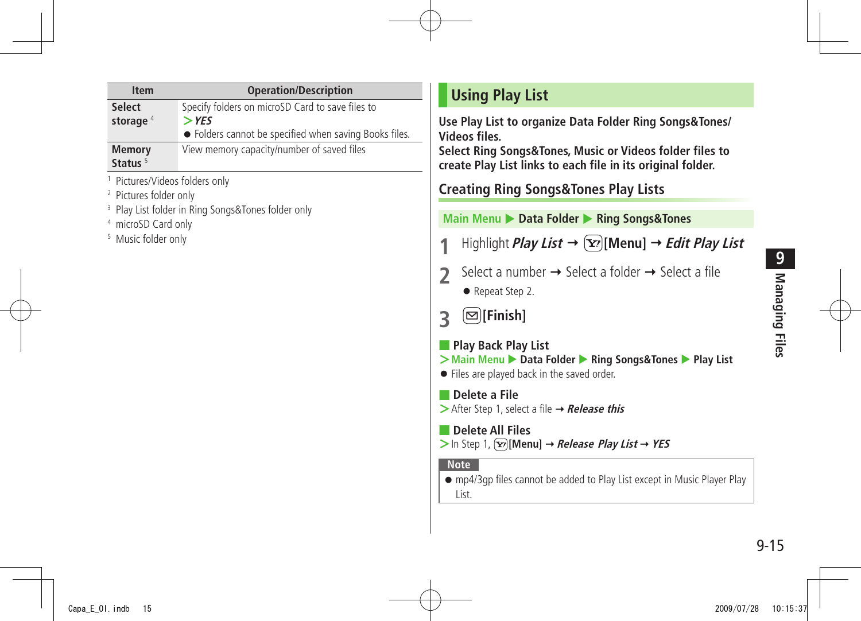<span id="page-14-0"></span>

| <b>Item</b>                     | <b>Operation/Description</b>                           |
|---------------------------------|--------------------------------------------------------|
| <b>Select</b>                   | Specify folders on microSD Card to save files to       |
| storage $4$                     | $>$ YES                                                |
|                                 | • Folders cannot be specified when saving Books files. |
| <b>Memory</b>                   | View memory capacity/number of saved files             |
| Status <sup>5</sup>             |                                                        |
| براجع ومطاطره وممادا الموسيديان |                                                        |

1 Pictures/Videos folders only

2 Pictures folder only

3 Play List folder in Ring Songs&Tones folder only

4 microSD Card only

5 Music folder only

#### **Using Play List**

**Use Play List to organize Data Folder Ring Songs&Tones/ Videos files.**

**Select Ring Songs&Tones, Music or Videos folder files to create Play List links to each file in its original folder.**

**Creating Ring Songs&Tones Play Lists**

#### **Main Menu** X **Data Folder** X **Ring Songs&Tones**

- **1** Highlight *Play List*  $\rightarrow \overline{X}$  [Menu]  $\rightarrow$  *Edit Play List*
- **2** Select a number  $\rightarrow$  Select a folder  $\rightarrow$  Select a file
	- Repeat Step 2.
- **3 [Finish]**
- **Play Back Play List**
- **>** Main Menu ▶ Data Folder ▶ Ring Songs&Tones ▶ Play List
- Files are played back in the saved order.

■ **Delete a File >**After Step 1, select a file → **Release this** 

■ **Delete All Files**  $>$ In Step 1,  $\boxed{\mathbf{Y}}$ **[Menu]**  $\rightarrow$  *Release Play List*  $\rightarrow$  *YES* 

#### **Note**

● mp4/3gp files cannot be added to Play List except in Music Player Play List.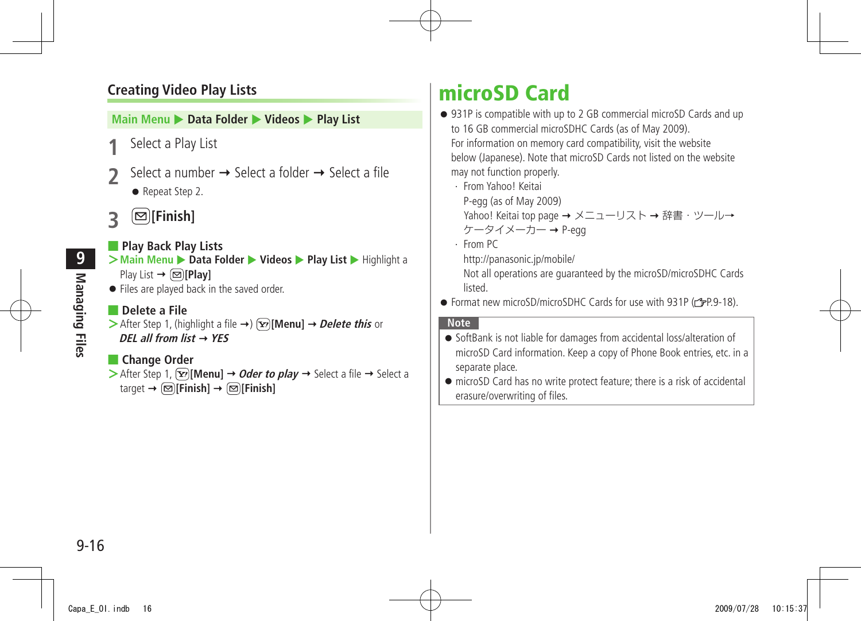#### <span id="page-15-0"></span>**Creating Video Play Lists**

#### **Main Menu ▶ Data Folder ▶ Videos ▶ Play List**

- **1** Select a Play List
- Select a number  $\rightarrow$  Select a folder  $\rightarrow$  Select a file
	- Repeat Step 2.
- **3 [Finish]**

#### ■ **Play Back Play Lists**

- **>Main Menu** ▶ **Data Folder** ▶ **Videos** ▶ **Play List** ▶ Highlight a Play List **[Play]**
- Files are played back in the saved order.

#### ■ **Delete a File**

 $\triangleright$  After Step 1, (highlight a file  $\rightarrow$ )  $\triangleright$  [**Menu**]  $\rightarrow$  *Delete this* or **DEL all from list YES**

#### ■ **Change Order**

 $\triangleright$  After Step 1,  $\overline{Y}$ **[Menu]**  $\rightarrow$  *Oder to play*  $\rightarrow$  Select a file  $\rightarrow$  Select a  $\text{target} \rightarrow \text{[} \text{F} \text{] }$  **[Finish]**  $\rightarrow \text{[} \text{F} \text{] }$  **[Finish]** 

## **microSD Card**

- 931P is compatible with up to 2 GB commercial microSD Cards and up to 16 GB commercial microSDHC Cards (as of May 2009). For information on memory card compatibility, visit the website below (Japanese). Note that microSD Cards not listed on the website may not function properly.
	- ・ From Yahoo! Keitai P-egg (as of May 2009) Yahoo! Keitai top page → メニューリスト → 辞書・ツール→  $5 - 9 - 1 - 7 - 9$ -egg
	- ・ From PC http://panasonic.jp/mobile/

Not all operations are guaranteed by the microSD/microSDHC Cards listed.

● Format new microSD/microSDHC Cards for use with 931P ( $pP.9-18$ ).

#### **Note**

- SoftBank is not liable for damages from accidental loss/alteration of microSD Card information. Keep a copy of Phone Book entries, etc. in a separate place.
- microSD Card has no write protect feature; there is a risk of accidental erasure/overwriting of files.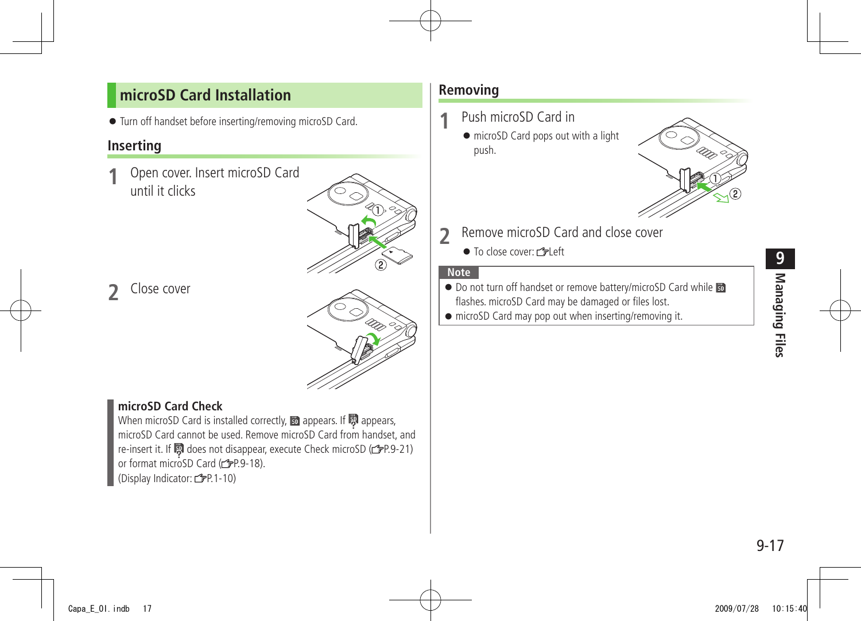#### <span id="page-16-0"></span>**microSD Card Installation**

● Turn off handset before inserting/removing microSD Card.

#### **Inserting**

**1** Open cover. Insert microSD Card until it clicks



**2** Close cover

#### **microSD Card Check**

When microSD Card is installed correctly,  $\mathbb B$  appears. If  $\mathbb B$  appears, microSD Card cannot be used. Remove microSD Card from handset, and re-insert it. If does not disappear, execute Check microSD ( P.9-21) or format microSD Card (rep. 9-18). (Display Indicator: <del>『</del>P.1-10)

#### **Removing**

- **1** Push microSD Card in
	- microSD Card pops out with a light push.



- **2** Remove microSD Card and close cover
	- To close cover: r<sup>•</sup> Left

#### **Note**

- Do not turn off handset or remove battery/microSD Card while flashes. microSD Card may be damaged or files lost.
- microSD Card may pop out when inserting/removing it.

9-17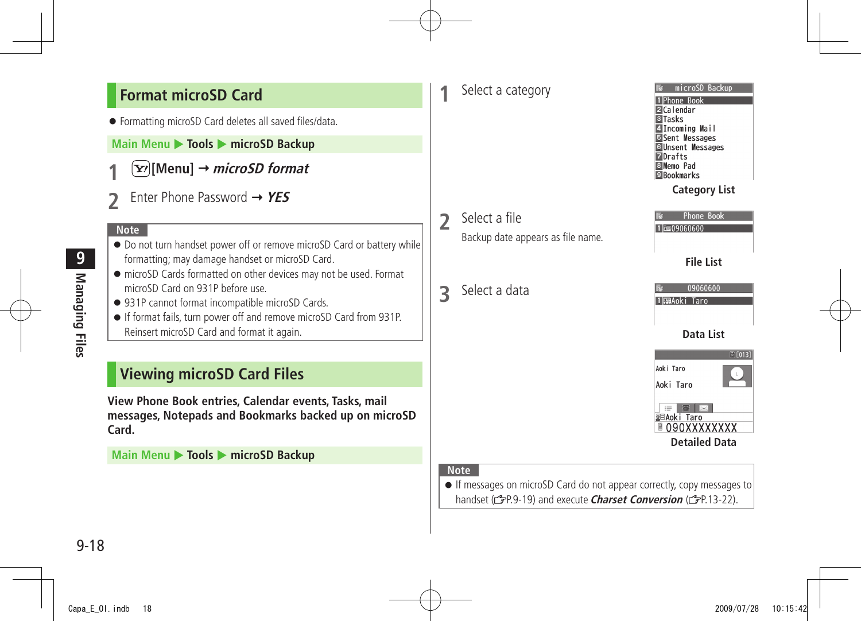#### <span id="page-17-0"></span>**Format microSD Card**

● Formatting microSD Card deletes all saved files/data.

#### **Main Menu ▶ Tools ▶ microSD Backup**

- **1 [Menu] microSD format**
- **2** Enter Phone Password **YES**

#### **Note**

- Do not turn handset power off or remove microSD Card or battery while formatting; may damage handset or microSD Card.
- microSD Cards formatted on other devices may not be used. Format microSD Card on 931P before use.
- 931P cannot format incompatible microSD Cards.
- If format fails, turn power off and remove microSD Card from 931P. Reinsert microSD Card and format it again.

#### **Viewing microSD Card Files**

**View Phone Book entries, Calendar events, Tasks, mail messages, Notepads and Bookmarks backed up on microSD Card.**

**Main Menu ▶ Tools ▶ microSD Backup** 

#### **1** Select a category

- **2** Select a file Backup date appears as file name.
- **3** Select a data



#### **Category List**

| Phone Book       |  |  |  |  |
|------------------|--|--|--|--|
| $= 09060600$     |  |  |  |  |
|                  |  |  |  |  |
|                  |  |  |  |  |
| <b>File List</b> |  |  |  |  |
|                  |  |  |  |  |
|                  |  |  |  |  |



#### **Note**

● If messages on microSD Card do not appear correctly, copy messages to handset (<sup>2</sup>P.9-19) and execute **Charset Conversion** (<sup>2</sup>P.13-22).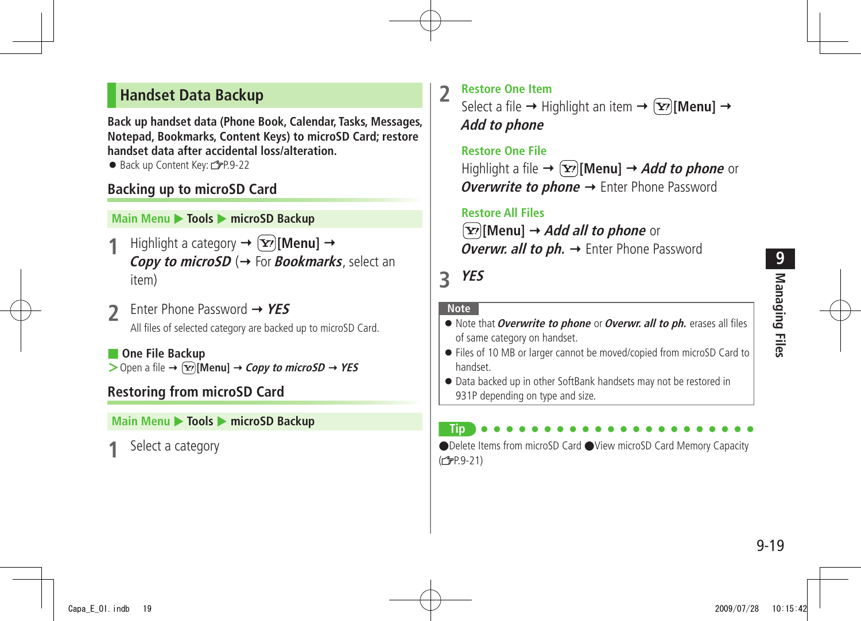#### <span id="page-18-0"></span>**Handset Data Backup**

**Back up handset data (Phone Book, Calendar, Tasks, Messages, Notepad, Bookmarks, Content Keys) to microSD Card; restore handset data after accidental loss/alteration.**

● Back up Content Key: ryP.9-22

#### **Backing up to microSD Card**

#### **Main Menu ▶ Tools ▶ microSD Backup**

- **Highlight a category**  $\rightarrow$  $\boxed{\mathbf{x}}$ *[Menu]*  $\rightarrow$ **Copy to microSD** ( $\rightarrow$  For **Bookmarks**, select an item)
- **2** Enter Phone Password **YES** All files of selected category are backed up to microSD Card.
- **One File Backup**  $>$  Open a file  $\rightarrow \boxed{\mathbf{x}}$  [Menu]  $\rightarrow$  *Copy to microSD*  $\rightarrow$  *YES*

#### **Restoring from microSD Card**

#### **Main Menu** X **Tools** X **microSD Backup**

**1** Select a category

**2** Restore One Item<br>Select a file  $\rightarrow$  Highlight an item  $\rightarrow \infty$ [**Menu**]  $\rightarrow$ **Add to phone**

#### **Restore One File** Highlight a file  $\rightarrow \infty$  [Menu]  $\rightarrow$  *Add to phone* or **Overwrite to phone →** Enter Phone Password

 **Restore All Files**

**[Y'][Menu] → Add all to phone** or **Overwr. all to ph. →** Enter Phone Password

#### **3 YES**

#### **Note**

**Tip**

- Note that **Overwrite to phone** or **Overwr. all to ph.** erases all files of same category on handset.
- Files of 10 MB or larger cannot be moved/copied from microSD Card to handset.
- Data backed up in other SoftBank handsets may not be restored in 931P depending on type and size.

#### ●Delete Items from microSD Card ●View microSD Card Memory Capacity  $(F = P.9 - 21)$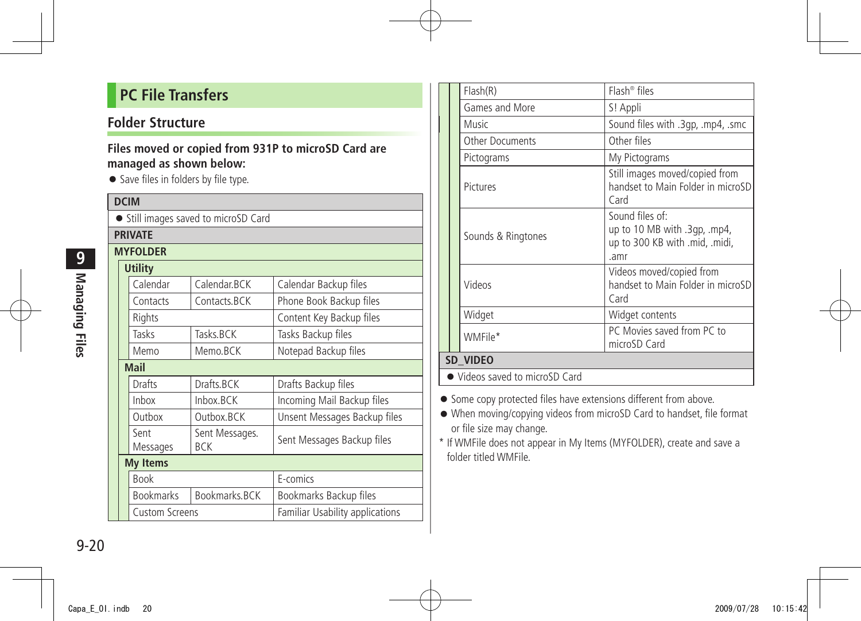#### <span id="page-19-0"></span>**PC File Transfers**

#### **Folder Structure**

#### **Files moved or copied from 931P to microSD Card are managed as shown below:**

● Save files in folders by file type.

| <b>DCIM</b>                          |  |                       |                              |                                        |  |  |
|--------------------------------------|--|-----------------------|------------------------------|----------------------------------------|--|--|
| • Still images saved to microSD Card |  |                       |                              |                                        |  |  |
| <b>PRIVATE</b>                       |  |                       |                              |                                        |  |  |
| <b>MYFOLDER</b>                      |  |                       |                              |                                        |  |  |
|                                      |  | <b>Utility</b>        |                              |                                        |  |  |
|                                      |  | Calendar              | Calendar.BCK                 | Calendar Backup files                  |  |  |
|                                      |  | Contacts              | Contacts.BCK                 | Phone Book Backup files                |  |  |
|                                      |  | Rights                |                              | Content Key Backup files               |  |  |
|                                      |  | Tasks                 | Tasks BCK                    | Tasks Backup files                     |  |  |
|                                      |  | Memo                  | Memo.BCK                     | Notepad Backup files                   |  |  |
|                                      |  | <b>Mail</b>           |                              |                                        |  |  |
|                                      |  | Drafts                | Drafts.BCK                   | Drafts Backup files                    |  |  |
|                                      |  | Inbox                 | Inbox.BCK                    | Incoming Mail Backup files             |  |  |
|                                      |  | Outbox                | Outbox.BCK                   | Unsent Messages Backup files           |  |  |
|                                      |  | Sent<br>Messages      | Sent Messages.<br><b>BCK</b> | Sent Messages Backup files             |  |  |
|                                      |  | <b>My Items</b>       |                              |                                        |  |  |
|                                      |  | <b>Book</b>           |                              | E-comics                               |  |  |
|                                      |  | <b>Bookmarks</b>      | Bookmarks.BCK                | Bookmarks Backup files                 |  |  |
|                                      |  | <b>Custom Screens</b> |                              | <b>Familiar Usability applications</b> |  |  |

|  |                                | Flash(R)               | $Flash^{\circledcirc}$ files                                                             |  |  |
|--|--------------------------------|------------------------|------------------------------------------------------------------------------------------|--|--|
|  |                                | Games and More         | S! Appli                                                                                 |  |  |
|  |                                | Music                  | Sound files with .3qp, .mp4, .smc                                                        |  |  |
|  |                                | <b>Other Documents</b> | Other files                                                                              |  |  |
|  |                                | Pictograms             | My Pictograms                                                                            |  |  |
|  |                                | Pictures               | Still images moved/copied from<br>handset to Main Folder in microSD<br>Card              |  |  |
|  |                                | Sounds & Ringtones     | Sound files of:<br>up to 10 MB with .3gp, mp4,<br>up to 300 KB with .mid, .midi,<br>.amr |  |  |
|  |                                | Videos                 | Videos moved/copied from<br>handset to Main Folder in microSD<br>Card                    |  |  |
|  |                                | Widget                 | Widget contents                                                                          |  |  |
|  |                                | WMFile*                | PC Movies saved from PC to<br>microSD Card                                               |  |  |
|  | SD_VIDEO                       |                        |                                                                                          |  |  |
|  | • Videos saved to microSD Card |                        |                                                                                          |  |  |

- Some copy protected files have extensions different from above.
- When moving/copying videos from microSD Card to handset, file format or file size may change.
- \* If WMFile does not appear in My Items (MYFOLDER), create and save a folder titled WMFile.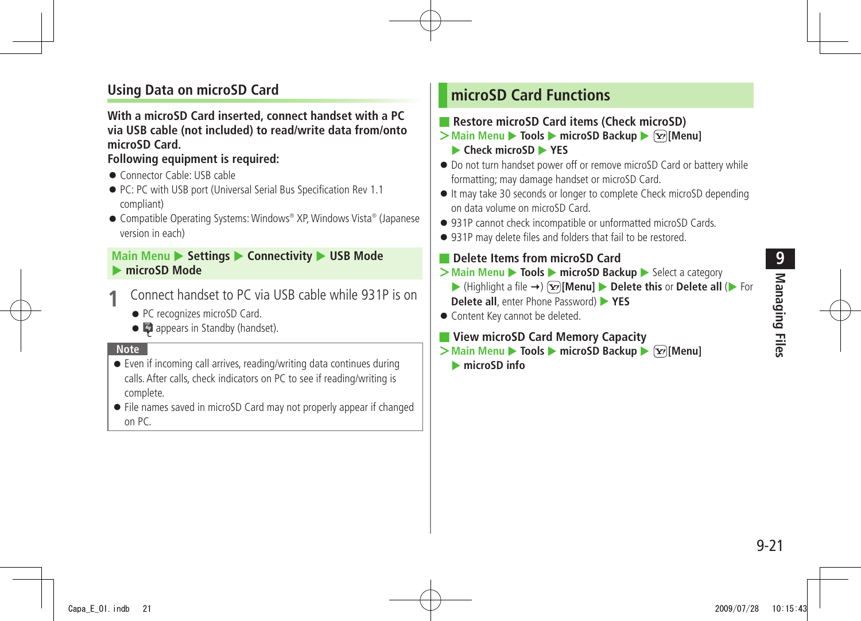# **Managing Files** Managing Files

#### <span id="page-20-0"></span>**Using Data on microSD Card**

#### **With a microSD Card inserted, connect handset with a PC via USB cable (not included) to read/write data from/onto microSD Card.**

#### **Following equipment is required:**

- Connector Cable: USB cable
- PC: PC with USB port (Universal Serial Bus Specification Rev 1.1) compliant)
- Compatible Operating Systems: Windows® XP, Windows Vista® (Japanese version in each)

#### **Main Menu > Settings > Connectivity > USB Mode** microSD Mode

- **1** Connect handset to PC via USB cable while 931P is on
	- PC recognizes microSD Card.
	- appears in Standby (handset).

#### **Note**

- Even if incoming call arrives, reading/writing data continues during calls. After calls, check indicators on PC to see if reading/writing is complete.
- File names saved in microSD Card may not properly appear if changed on PC.

#### **microSD Card Functions**

- **Restore microSD Card items (Check microSD)**
- **>Main Menu** ▶ **Tools** ▶ **microSD Backup** ▶  $\boxed{\mathbf{Y}}$  [Menu] **Check microSD XES**
- Do not turn handset power off or remove microSD Card or battery while formatting; may damage handset or microSD Card.
- It may take 30 seconds or longer to complete Check microSD depending on data volume on microSD Card.
- 931P cannot check incompatible or unformatted microSD Cards.
- 931P may delete files and folders that fail to be restored.

#### ■ **Delete Items from microSD Card**

- **>Main Menu ▶ Tools ▶ microSD Backup ▶ Select a category** 
	- $\blacktriangleright$  (Highlight a file  $\rightarrow$ )  $\boxed{\mathbf{x}}$  [Menu]  $\blacktriangleright$  **Delete this** or **Delete all** ( $\blacktriangleright$  For **Delete all**, enter Phone Password) **XES**
- Content Key cannot be deleted.
- **View microSD Card Memory Capacity**
- **>Main Menu** ▶ **Tools** ▶ **microSD Backup** ▶  $\boxed{\mathbf{Y}}$  [Menu]
	- **ImicroSD** info